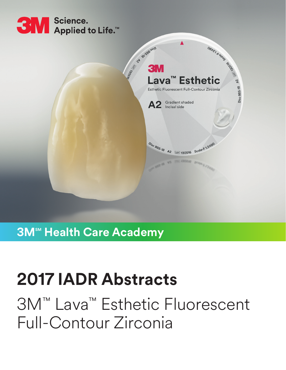



## **3M<sup>™</sup> Health Care Academy**

# **2017 IADR Abstracts**

3M™ Lava™ Esthetic Fluorescent Full-Contour Zirconia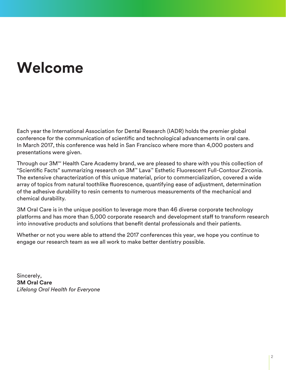# **Welcome**

Each year the International Association for Dental Research (IADR) holds the premier global conference for the communication of scientific and technological advancements in oral care. In March 2017, this conference was held in San Francisco where more than 4,000 posters and presentations were given.

Through our 3M<sup>™</sup> Health Care Academy brand, we are pleased to share with you this collection of "Scientific Facts" summarizing research on 3M™ Lava™ Esthetic Fluorescent Full-Contour Zirconia. The extensive characterization of this unique material, prior to commercialization, covered a wide array of topics from natural toothlike fluorescence, quantifying ease of adjustment, determination of the adhesive durability to resin cements to numerous measurements of the mechanical and chemical durability.

3M Oral Care is in the unique position to leverage more than 46 diverse corporate technology platforms and has more than 5,000 corporate research and development staff to transform research into innovative products and solutions that benefit dental professionals and their patients.

Whether or not you were able to attend the 2017 conferences this year, we hope you continue to engage our research team as we all work to make better dentistry possible.

Sincerely, **3M Oral Care** *Lifelong Oral Health for Everyone*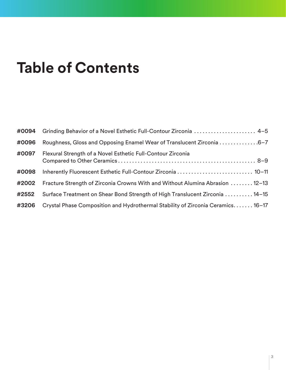# **Table of Contents**

| #0094 | Grinding Behavior of a Novel Esthetic Full-Contour Zirconia  4-5                |
|-------|---------------------------------------------------------------------------------|
| #0096 | Roughness, Gloss and Opposing Enamel Wear of Translucent Zirconia 6-7           |
| #0097 | Flexural Strength of a Novel Esthetic Full-Contour Zirconia                     |
| #0098 | Inherently Fluorescent Esthetic Full-Contour Zirconia  10-11                    |
| #2002 | Fracture Strength of Zirconia Crowns With and Without Alumina Abrasion  12-13   |
| #2552 | Surface Treatment on Shear Bond Strength of High Translucent Zirconia  14-15    |
| #3206 | Crystal Phase Composition and Hydrothermal Stability of Zirconia Ceramics 16-17 |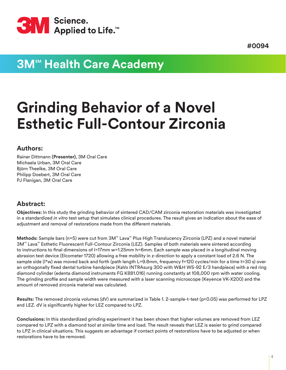<span id="page-3-0"></span>

### **3M<sup>sM</sup> Health Care Academy**

# **Grinding Behavior of a Novel Esthetic Full-Contour Zirconia**

#### **Authors:**

Rainer Dittmann **(Presenter)**, 3M Oral Care Michaela Urban, 3M Oral Care Björn Theelke, 3M Oral Care Philipp Doebert, 3M Oral Care PJ Flanigan, 3M Oral Care

#### **Abstract:**

**Objectives:** In this study the grinding behavior of sintered CAD/CAM zirconia restoration materials was investigated in a standardized *in vitro* test setup that simulates clinical procedures. The result gives an indication about the ease of adjustment and removal of restorations made from the different materials.

**Methods:** Sample bars (n=5) were cut from 3M™ Lava™ Plus High Translucency Zirconia (LPZ) and a novel material 3M™ Lava™ Esthetic Fluorescent Full-Contour Zirconia (LEZ). Samples of both materials were sintered according to instructions to final dimensions of l=17mm w=1.25mm h=6mm. Each sample was placed in a longitudinal moving abrasion test device (Elcometer 1720) allowing a free mobility in z-direction to apply a constant load of 2.6 N. The sample side (I\*w) was moved back and forth (path length L=9.8mm, frequency f=120 cycles/min for a time t=30 s) over an orthogonally fixed dental turbine handpiece (KaVo INTRAsurg 300 with W&H WS-92 E/3 handpiece) with a red ring diamond cylinder (edenta diamond instruments FG K881.016) running constantly at 108,000 rpm with water cooling. The grinding profile and sample width were measured with a laser scanning microscope (Keyence VK-X200) and the amount of removed zirconia material was calculated.

**Results:** The removed zirconia volumes (dV) are summarized in Table 1. 2-sample-t-test (p<0.05) was performed for LPZ and LEZ. dV is significantly higher for LEZ compared to LPZ.

**Conclusions:** In this standardized grinding experiment it has been shown that higher volumes are removed from LEZ compared to LPZ with a diamond tool at similar time and load. The result reveals that LEZ is easier to grind compared to LPZ in clinical situations. This suggests an advantage if contact points of restorations have to be adjusted or when restorations have to be removed.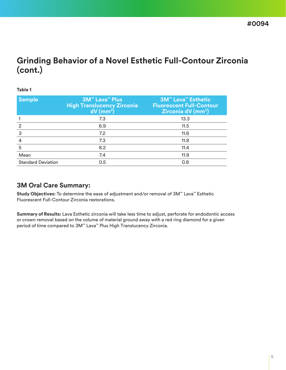### **Grinding Behavior of a Novel Esthetic Full-Contour Zirconia (cont.)**

#### **Table 1**

| <b>Sample</b>             | <b>3M<sup>™</sup> Lava<sup>™</sup> Plus</b><br><b>High Translucency Zirconia</b><br>$dV$ (mm <sup>3</sup> ) | <b>3M<sup>™</sup> Lava<sup>™</sup> Esthetic</b><br><b>Fluorescent Full-Contour</b><br><b>Zirconia dV (mm<sup>3</sup>)</b> |
|---------------------------|-------------------------------------------------------------------------------------------------------------|---------------------------------------------------------------------------------------------------------------------------|
|                           | 7.3                                                                                                         | 13.3                                                                                                                      |
| 2                         | 6.9                                                                                                         | 11.5                                                                                                                      |
| 3                         | 7.2                                                                                                         | 11.6                                                                                                                      |
|                           | 7.3                                                                                                         | 11.8                                                                                                                      |
| 5                         | 8.2                                                                                                         | 11.4                                                                                                                      |
| Mean                      | 7.4                                                                                                         | 11.9                                                                                                                      |
| <b>Standard Deviation</b> | 0.5                                                                                                         | 0.8                                                                                                                       |

#### **3M Oral Care Summary:**

**Study Objectives:** To determine the ease of adjustment and/or removal of 3M™ Lava™ Esthetic Fluorescent Full-Contour Zirconia restorations.

**Summary of Results:** Lava Esthetic zirconia will take less time to adjust, perforate for endodontic access or crown removal based on the volume of material ground away with a red ring diamond for a given period of time compared to 3M™ Lava™ Plus High Translucency Zirconia.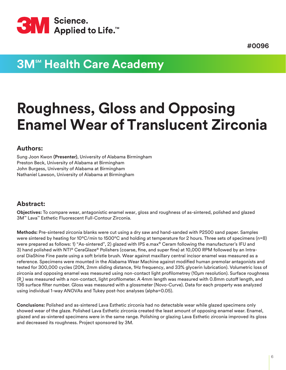<span id="page-5-0"></span>

## **3M<sup>sM</sup> Health Care Academy**

# **Roughness, Gloss and Opposing Enamel Wear of Translucent Zirconia**

#### **Authors:**

Sung Joon Kwon **(Presenter)**, University of Alabama Birmingham Preston Beck, University of Alabama at Birmingham John Burgess, University of Alabama at Birmingham Nathaniel Lawson, University of Alabama at Birmingham

#### **Abstract:**

**Objectives:** To compare wear, antagonistic enamel wear, gloss and roughness of as-sintered, polished and glazed 3M™ Lava™ Esthetic Fluorescent Full-Contour Zirconia.

**Methods:** Pre-sintered zirconia blanks were cut using a dry saw and hand-sanded with P2500 sand paper. Samples were sintered by heating for 10°C/min to 1500°C and holding at temperature for 2 hours. Three sets of specimens (n=8) were prepared as follows: 1) "As-sintered", 2) glazed with IPS e.max® Ceram following the manufacturer's IFU and 3) hand polished with NTI® CeraGlaze® Polishers (coarse, fine, and super fine) at 10,000 RPM followed by an Intraoral DiaShine Fine paste using a soft bristle brush. Wear against maxillary central incisor enamel was measured as a reference. Specimens were mounted in the Alabama Wear Machine against modified human premolar antagonists and tested for 300,000 cycles (20N, 2mm sliding distance, 1Hz frequency, and 33% glycerin lubrication). Volumetric loss of zirconia and opposing enamel was measured using non-contact light profilometrey (10µm resolution). Surface roughness (R $_{\rm a}$ ) was measured with a non-contact, light profilometer. A 4mm length was measured with 0.8mm cutoff length, and 136 surface filter number. Gloss was measured with a glossmeter (Novo-Curve). Data for each property was analyzed using individual 1-way ANOVAs and Tukey post-hoc analyses (alpha=0.05).

**Conclusions:** Polished and as-sintered Lava Esthetic zirconia had no detectable wear while glazed specimens only showed wear of the glaze. Polished Lava Esthetic zirconia created the least amount of opposing enamel wear. Enamel, glazed and as-sintered specimens were in the same range. Polishing or glazing Lava Esthetic zirconia improved its gloss and decreased its roughness. Project sponsored by 3M.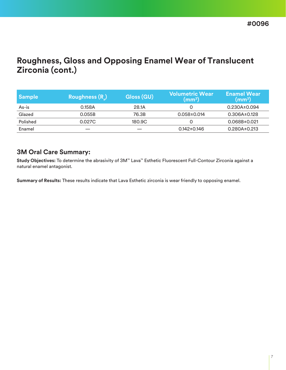### **Roughness, Gloss and Opposing Enamel Wear of Translucent Zirconia (cont.)**

| <b>Sample</b> | <b>Roughness (R)</b> | Gloss (GU) | <b>Volumetric Wear</b><br>$\text{(mm}^3)$ | <b>Enamel Wear</b><br>$\text{(mm}^3)$ |
|---------------|----------------------|------------|-------------------------------------------|---------------------------------------|
| As-is         | 0.158A               | 28.1A      |                                           | $0.230A \pm 0.094$                    |
| Glazed        | 0.055B               | 76.3B      | $0.058 \pm 0.014$                         | $0.306A \pm 0.128$                    |
| Polished      | 0.027C               | 180.9C     |                                           | $0.068B \pm 0.021$                    |
| Enamel        |                      |            | $0.142 \pm 0.146$                         | $0.280A \pm 0.213$                    |

#### **3M Oral Care Summary:**

**Study Objectives:** To determine the abrasivity of 3M™ Lava™ Esthetic Fluorescent Full-Contour Zirconia against a natural enamel antagonist.

**Summary of Results:** These results indicate that Lava Esthetic zirconia is wear friendly to opposing enamel.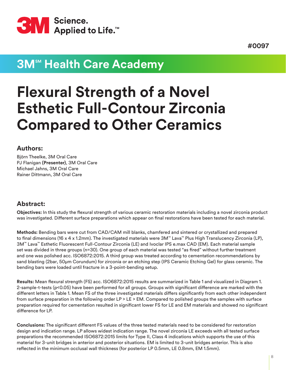<span id="page-7-0"></span>

### **3M<sup>™</sup> Health Care Academy**

# **Flexural Strength of a Novel Esthetic Full-Contour Zirconia Compared to Other Ceramics**

#### **Authors:**

Björn Theelke, 3M Oral Care PJ Flanigan **(Presenter)**, 3M Oral Care Michael Jahns, 3M Oral Care Rainer Dittmann, 3M Oral Care

#### **Abstract:**

**Objectives:** In this study the flexural strength of various ceramic restoration materials including a novel zirconia product was investigated. Different surface preparations which appear on final restorations have been tested for each material.

**Methods:** Bending bars were cut from CAD/CAM mill blanks, chamfered and sintered or crystallized and prepared to final dimensions (16 x 4 x 1.2mm). The investigated materials were 3M™ Lava™ Plus High Translucency Zirconia (LP), 3M™ Lava™ Esthetic Fluorescent Full-Contour Zirconia (LE) and Ivoclar IPS e.max CAD (EM). Each material sample set was divided in three groups (n=30). One group of each material was tested "as fired" without further treatment and one was polished acc. ISO6872:2015. A third group was treated according to cementation recommendations by sand blasting (2bar, 50µm Corundum) for zirconia or an etching step (IPS Ceramic Etching Gel) for glass ceramic. The bending bars were loaded until fracture in a 3-point-bending setup.

**Results:** Mean flexural strength (FS) acc. ISO6872:2015 results are summarized in Table 1 and visualized in Diagram 1. 2-sample-t-tests (p<0.05) have been performed for all groups. Groups with significant difference are marked with the different letters in Table 1. Mean FS of the three investigated materials differs significantly from each other independent from surface preparation in the following order LP > LE > EM. Compared to polished groups the samples with surface preparation required for cementation resulted in significant lower FS for LE and EM materials and showed no significant difference for LP.

**Conclusions:** The significant different FS values of the three tested materials need to be considered for restoration design and indication range. LP allows widest indication range. The novel zirconia LE exceeds with all tested surface preparations the recommended ISO6872:2015 limits for Type II, Class 4 indications which supports the use of this material for 3-unit bridges in anterior and posterior situations. EM is limited to 3-unit bridges anterior. This is also reflected in the minimum occlusal wall thickness (for posterior LP 0.5mm, LE 0.8mm, EM 1.5mm).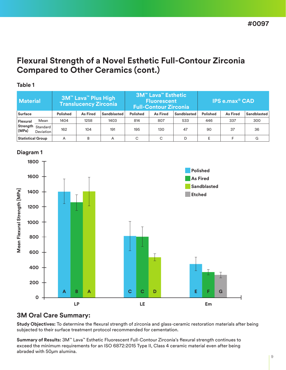### **Flexural Strength of a Novel Esthetic Full-Contour Zirconia Compared to Other Ceramics (cont.)**

| <b>Material</b>          |                                | <b>3M™ Lava™ Plus High</b><br><b>Translucency Zirconia</b> |                 | <u>I 3M™ Lava™ Esthetic </u><br><b>Fluorescent</b><br><b>Full-Contour Zirconia</b> |                 |                 | <b>IPS e.max<sup>®</sup> CAD</b> |                 |                 |             |
|--------------------------|--------------------------------|------------------------------------------------------------|-----------------|------------------------------------------------------------------------------------|-----------------|-----------------|----------------------------------|-----------------|-----------------|-------------|
| <b>Surface</b>           |                                | <b>Polished</b>                                            | <b>As Fired</b> | Sandblasted                                                                        | <b>Polished</b> | <b>As Fired</b> | Sandblasted                      | <b>Polished</b> | <b>As Fired</b> | Sandblasted |
| Flexural                 | Mean                           | 1404                                                       | 1258            | 1403                                                                               | 814             | 807             | 533                              | 446             | 337             | 300         |
| (MPa)                    | Strength Standard<br>Deviation | 162                                                        | 104             | 191                                                                                | 195             | 130             | 47                               | 90              | 37              | 36          |
| <b>Statistical Group</b> |                                | А                                                          | B               | A                                                                                  | C               | С               | D                                | F.              |                 | G           |



#### **Diagram 1**

**Table 1**

#### **3M Oral Care Summary:**

**Study Objectives:** To determine the flexural strength of zirconia and glass-ceramic restoration materials after being subjected to their surface treatment protocol recommended for cementation.

**Summary of Results:** 3M™ Lava™ Esthetic Fluorescent Full-Contour Zirconia's flexural strength continues to exceed the minimum requirements for an ISO 6872:2015 Type II, Class 4 ceramic material even after being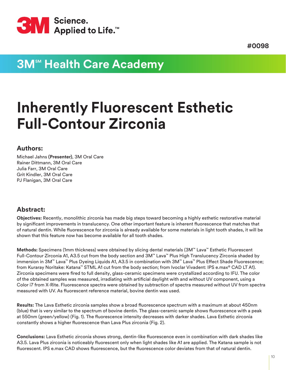<span id="page-9-0"></span>

## **3M<sup>sM</sup> Health Care Academy**

# **Inherently Fluorescent Esthetic Full-Contour Zirconia**

#### **Authors:**

Michael Jahns **(Presenter)**, 3M Oral Care Rainer Dittmann, 3M Oral Care Julia Farr, 3M Oral Care Grit Kindler, 3M Oral Care PJ Flanigan, 3M Oral Care

#### **Abstract:**

**Objectives:** Recently, monolithic zirconia has made big steps toward becoming a highly esthetic restorative material by significant improvements in translucency. One other important feature is inherent fluorescence that matches that of natural dentin. While fluorescence for zirconia is already available for some materials in light tooth shades, it will be shown that this feature now has become available for all tooth shades.

**Methods:** Specimens (1mm thickness) were obtained by slicing dental materials (3M™ Lava™ Esthetic Fluorescent Full-Contour Zirconia A1, A3.5 cut from the body section and 3M™ Lava™ Plus High Translucency Zirconia shaded by immersion in 3M™ Lava™ Plus Dyeing Liquids A1, A3.5 in combination with 3M™ Lava™ Plus Effect Shade Fluorescence; from Kuraray Noritake: Katana™ STML A1 cut from the body section; from Ivoclar Vivadent: IPS e.max® CAD LT A1). Zirconia specimens were fired to full density, glass-ceramic specimens were crystallized according to IFU. The color of the obtained samples was measured, irradiating with artificial daylight with and without UV component, using a Color i7 from X-Rite. Fluorescence spectra were obtained by subtraction of spectra measured without UV from spectra measured with UV. As fluorescent reference material, bovine dentin was used.

**Results:** The Lava Esthetic zirconia samples show a broad fluorescence spectrum with a maximum at about 450nm (blue) that is very similar to the spectrum of bovine dentin. The glass-ceramic sample shows fluorescence with a peak at 550nm (green/yellow) (Fig. 1). The fluorescence intensity decreases with darker shades. Lava Esthetic zirconia constantly shows a higher fluorescence than Lava Plus zirconia (Fig. 2).

**Conclusions:** Lava Esthetic zirconia shows strong, dentin-like fluorescence even in combination with dark shades like A3.5. Lava Plus zirconia is noticeably fluorescent only when light shades like A1 are applied. The Katana sample is not fluorescent. IPS e.max CAD shows fluorescence, but the fluorescence color deviates from that of natural dentin.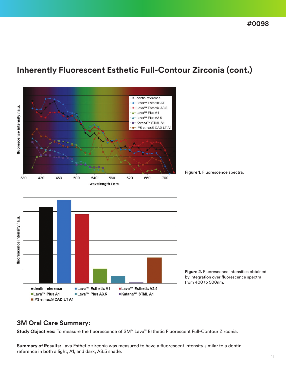### **Inherently Fluorescent Esthetic Full-Contour Zirconia (cont.)**



**Figure 2.** Fluorescence intensities obtained by integration over fluorescence spectra

#### **3M Oral Care Summary:**

**Study Objectives:** To measure the fluorescence of 3M™ Lava™ Esthetic Fluorescent Full-Contour Zirconia.

**Summary of Results:** Lava Esthetic zirconia was measured to have a fluorescent intensity similar to a dentin reference in both a light, A1, and dark, A3.5 shade.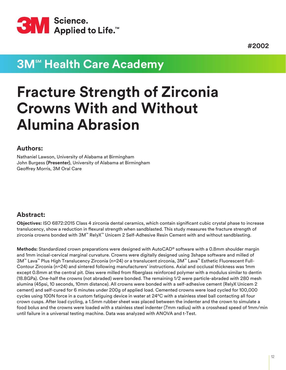<span id="page-11-0"></span>

## **3M<sup>™</sup> Health Care Academy**

# **Fracture Strength of Zirconia Crowns With and Without Alumina Abrasion**

#### **Authors:**

Nathaniel Lawson, University of Alabama at Birmingham John Burgess **(Presenter)**, University of Alabama at Birmingham Geoffrey Morris, 3M Oral Care

#### **Abstract:**

**Objectives:** ISO 6872:2015 Class 4 zirconia dental ceramics, which contain significant cubic crystal phase to increase translucency, show a reduction in flexural strength when sandblasted. This study measures the fracture strength of zirconia crowns bonded with 3M™ RelyX™ Unicem 2 Self-Adhesive Resin Cement with and without sandblasting.

**Methods:** Standardized crown preparations were designed with AutoCAD® software with a 0.8mm shoulder margin and 1mm incisal-cervical marginal curvature. Crowns were digitally designed using 3shape software and milled of 3M™ Lava™ Plus High Translucency Zirconia (n=24) or a translucent zirconia, 3M™ Lava™ Esthetic Fluorescent Full-Contour Zirconia (n=24) and sintered following manufacturers' instructions. Axial and occlusal thickness was 1mm except 0.8mm at the central pit. Dies were milled from fiberglass reinforced polymer with a modulus similar to dentin (18.8GPa). One-half the crowns (not abraded) were bonded. The remaining 1/2 were particle-abraded with 280 mesh alumina (45psi, 10 seconds, 10mm distance). All crowns were bonded with a self-adhesive cement (RelyX Unicem 2 cement) and self-cured for 6 minutes under 200g of applied load. Cemented crowns were load cycled for 100,000 cycles using 100N force in a custom fatiguing device in water at 24°C with a stainless steel ball contacting all four crown cusps. After load cycling, a 1.5mm rubber sheet was placed between the indenter and the crown to simulate a food bolus and the crowns were loaded with a stainless steel indenter (7mm radius) with a crosshead speed of 1mm/min until failure in a universal testing machine. Data was analyzed with ANOVA and t-Test.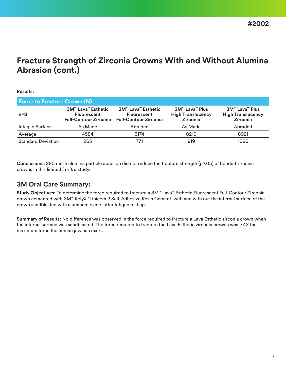### **Fracture Strength of Zirconia Crowns With and Without Alumina Abrasion (cont.)**

#### **Results:**

| <b>Force to Fracture Crown (N)</b> |                                                                                                       |                                                                                 |                                                                      |                                                                      |  |  |  |  |
|------------------------------------|-------------------------------------------------------------------------------------------------------|---------------------------------------------------------------------------------|----------------------------------------------------------------------|----------------------------------------------------------------------|--|--|--|--|
| $n = 8$                            | <b>3M<sup>™</sup> Lava<sup>™</sup> Esthetic</b><br><b>Fluorescent</b><br><b>Full-Contour Zirconia</b> | <b>3M™ Lava™ Esthetic</b><br><b>Fluorescent</b><br><b>Full-Contour Zirconia</b> | <b>3M™ Lava™ Plus</b><br><b>High Translucency</b><br><b>Zirconia</b> | <b>3M™ Lava™ Plus</b><br><b>High Translucency</b><br><b>Zirconia</b> |  |  |  |  |
| Intaglio Surface                   | As Made                                                                                               | Abraded                                                                         | As Made                                                              | Abraded                                                              |  |  |  |  |
| Average                            | 4584                                                                                                  | 5174                                                                            | 8210                                                                 | 8921                                                                 |  |  |  |  |
| <b>Standard Deviation</b>          | 265                                                                                                   | 771                                                                             | 919                                                                  | 1086                                                                 |  |  |  |  |

**Conclusions:** 280 mesh alumina particle abrasion did not reduce the fracture strength (p>.05) of bonded zirconia crowns in this limited *in vitro* study.

#### **3M Oral Care Summary:**

**Study Objectives:** To determine the force required to fracture a 3M™ Lava™ Esthetic Fluorescent Full-Contour Zirconia crown cemented with 3M™ RelyX™ Unicem 2 Self-Adhesive Resin Cement, with and with out the internal surface of the crown sandblasted with aluminum oxide, after fatigue testing.

**Summary of Results:** No difference was observed in the force required to fracture a Lava Esthetic zirconia crown when the internal surface was sandblasted. The force required to fracture the Lava Esthetic zirconia crowns was > 4X the maximum force the human jaw can exert.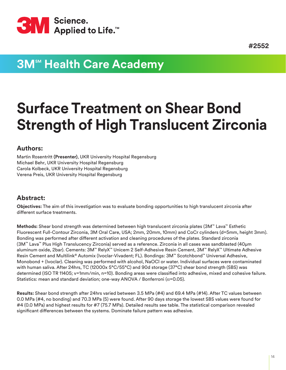<span id="page-13-0"></span>

## **3M<sup>sM</sup> Health Care Academy**

# **Surface Treatment on Shear Bond Strength of High Translucent Zirconia**

#### **Authors:**

Martin Rosentritt **(Presenter)**, UKR University Hospital Regensburg Michael Behr, UKR University Hospital Regensburg Carola Kolbeck, UKR University Hospital Regensburg Verena Preis, UKR University Hospital Regensburg

#### **Abstract:**

**Objectives:** The aim of this investigation was to evaluate bonding opportunities to high translucent zirconia after different surface treatments.

**Methods:** Shear bond strength was determined between high translucent zirconia plates (3M™ Lava™ Esthetic Fluorescent Full-Contour Zirconia, 3M Oral Care, USA; 2mm, 20mm, 10mm) and CoCr cylinders (d=5mm, height 3mm). Bonding was performed after different activation and cleaning procedures of the plates. Standard zirconia (3M™ Lava™ Plus High Translucency Zirconia) served as a reference. Zirconia in all cases was sandblasted (40µm aluminum oxide, 2bar). Cements: 3M™ RelyX™ Unicem 2 Self-Adhesive Resin Cement, 3M™ RelyX™ Ultimate Adhesive Resin Cement and Multilink® Automix (Ivoclar-Vivadent; FL). Bondings: 3M™ Scotchbond™ Universal Adhesive, Monobond + (Ivoclar). Cleaning was performed with alcohol, NaOCl or water. Individual surfaces were contaminated with human saliva. After 24hrs, TC (12000x 5°C/55°C) and 90d storage (37°C) shear bond strength (SBS) was determined (ISO TR 11405; v=1mm/min, n=10). Bonding areas were classified into adhesive, mixed and cohesive failure. Statistics: mean and standard deviation; one-way ANOVA / Bonferroni (α=0.05).

**Results:** Shear bond strength after 24hrs varied between 3.5 MPa (#4) and 69.4 MPa (#14). After TC values between 0.0 MPa (#4, no bonding) and 70.3 MPa (5) were found. After 90 days storage the lowest SBS values were found for #4 (0.0 MPa) and highest results for #7 (75.7 MPa). Detailed results see table. The statistical comparison revealed significant differences between the systems. Dominate failure pattern was adhesive.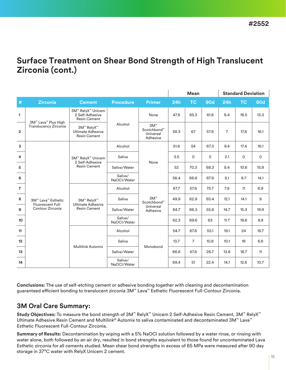### **Surface Treatment on Shear Bond Strength of High Translucent Zirconia (cont.)**

|                |                                                     |                                                               |                        |                                                  | <b>Mean</b> |                |            | <b>Standard Deviation</b> |             |             |
|----------------|-----------------------------------------------------|---------------------------------------------------------------|------------------------|--------------------------------------------------|-------------|----------------|------------|---------------------------|-------------|-------------|
| $\#$           | <b>Zirconia</b>                                     | <b>Cement</b>                                                 | <b>Procedure</b>       | <b>Primer</b>                                    | 24h         | <b>TC</b>      | <b>90d</b> | 24h                       | <b>TC</b>   | <b>90d</b>  |
| $\mathbf{1}$   |                                                     | 3M™ RelyX™ Unicem<br>2 Self-Adhesive<br><b>Resin Cement</b>   | Alcohol                | None                                             | 47.8        | 65.3           | 61.8       | 6.4                       | 16.5        | 13.3        |
| $\overline{2}$ | 3M™ Lava™ Plus High<br><b>Translucency Zirconia</b> | 3M™ RelyX™<br><b>Ultimate Adhesive</b><br><b>Resin Cement</b> |                        | $3M^{m}$<br>Scotchbond™<br>Universal<br>Adhesive | 58.3        | 67             | 57.8       | $\overline{7}$            | 17.8        | 16.1        |
| 3              |                                                     |                                                               | Alcohol                |                                                  | 51.8        | 54             | 67.3       | 9.4                       | 17.4        | 16.1        |
| 4              |                                                     | 3M™ RelyX™ Unicem<br>2 Self-Adhesive<br><b>Resin Cement</b>   | Saliva                 |                                                  | 3.5         | $\mathbf 0$    | 0          | 2.1                       | $\mathbf 0$ | $\mathsf O$ |
| 5              |                                                     |                                                               | Saliva/Water           | None                                             | 52          | 70.3           | 68.3       | 8.4                       | 10.6        | 15.9        |
| 6              |                                                     |                                                               | Saliva/<br>NaOCI/Water |                                                  | 56.4        | 66.6           | 67.9       | 8.1                       | 8.7         | 14.1        |
| $\overline{7}$ |                                                     | 3M™ RelyX™<br><b>Ultimate Adhesive</b><br><b>Resin Cement</b> | Alcohol                | $3M^{m}$<br>Scotchbond™<br>Universal<br>Adhesive | 67.7        | 57.6           | 75.7       | 7.9                       | 11          | 6.9         |
| 8              | 3M™ Lava™ Esthetic                                  |                                                               | Saliva                 |                                                  | 49.9        | 62.9           | 65.4       | 12.1                      | 14.1        | 9           |
| 9              | <b>Fluorescent Full-</b><br>Contour Zirconia        |                                                               | Saliva/Water           |                                                  | 64.7        | 66.3           | 55.8       | 14.7                      | 15.3        | 19.9        |
| 10             |                                                     |                                                               | Saliva/<br>NaOCI/Water |                                                  | 62.3        | 69.6           | 63         | 11.7                      | 19.6        | 9.9         |
| 11             |                                                     | <b>Multilink Automix</b>                                      | Alcohol                | Monobond                                         | 54.7        | 67.6           | 55.1       | 19.1                      | 24          | 18.7        |
| 12             |                                                     |                                                               | Saliva                 |                                                  | 13.7        | $\overline{7}$ | 10.8       | 10.1                      | 16          | 6.6         |
| 13             |                                                     |                                                               | Saliva/Water           |                                                  | 66.6        | 47.6           | 26.7       | 13.8                      | 16.7        | 11          |
| 14             |                                                     |                                                               | Saliva/<br>NaOCI/Water |                                                  | 69.4        | 51             | 22.4       | 14.1                      | 12.6        | 10.7        |

**Conclusions:** The use of self-etching cement or adhesive bonding together with cleaning and decontamination guaranteed efficient bonding to translucent zirconia 3M™ Lava™ Esthetic Fluorescent Full-Contour Zirconia.

#### **3M Oral Care Summary:**

**Study Objectives:** To measure the bond strength of 3M™ RelyX™ Unicem 2 Self-Adhesive Resin Cement, 3M™ RelyX™ Ultimate Adhesive Resin Cement and Multilink® Automix to saliva contaminated and decontaminated 3M™ Lava™ Esthetic Fluorescent Full-Contour Zirconia.

**Summary of Results:** Decontamination by wiping with a 5% NaOCl solution followed by a water rinse, or rinsing with water alone, both followed by an air dry, resulted in bond strengths equivalent to those found for uncontaminated Lava Esthetic zirconia for all cements studied. Mean shear bond strengths in excess of 65 MPa were measured after 90 day storage in 37°C water with RelyX Unicem 2 cement.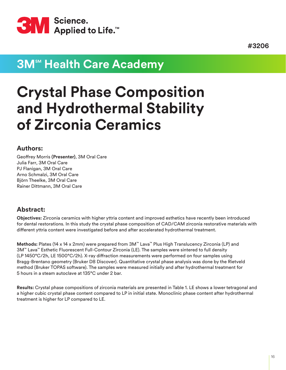<span id="page-15-0"></span>

## **3M<sup>sM</sup> Health Care Academy**

# **Crystal Phase Composition and Hydrothermal Stability of Zirconia Ceramics**

#### **Authors:**

Geoffrey Morris **(Presenter)**, 3M Oral Care Julia Farr, 3M Oral Care PJ Flanigan, 3M Oral Care Arno Schmalzi, 3M Oral Care Björn Theelke, 3M Oral Care Rainer Dittmann, 3M Oral Care

#### **Abstract:**

**Objectives:** Zirconia ceramics with higher yttria content and improved esthetics have recently been introduced for dental restorations. In this study the crystal phase composition of CAD/CAM zirconia restorative materials with different yttria content were investigated before and after accelerated hydrothermal treatment.

**Methods:** Plates (14 x 14 x 2mm) were prepared from 3M™ Lava™ Plus High Translucency Zirconia (LP) and 3M™ Lava™ Esthetic Fluorescent Full-Contour Zirconia (LE). The samples were sintered to full density (LP 1450°C/2h, LE 1500°C/2h). X-ray diffraction measurements were performed on four samples using Bragg-Brentano geometry (Bruker D8 Discover). Quantitative crystal phase analysis was done by the Rietveld method (Bruker TOPAS software). The samples were measured initially and after hydrothermal treatment for 5 hours in a steam autoclave at 135°C under 2 bar.

**Results:** Crystal phase compositions of zirconia materials are presented in Table 1. LE shows a lower tetragonal and a higher cubic crystal phase content compared to LP in initial state. Monoclinic phase content after hydrothermal treatment is higher for LP compared to LE.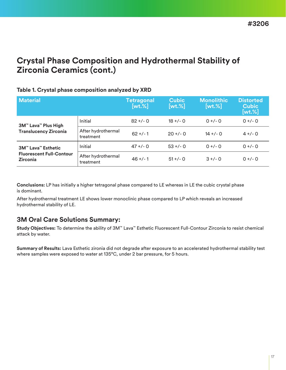### **Crystal Phase Composition and Hydrothermal Stability of Zirconia Ceramics (cont.)**

#### **Table 1. Crystal phase composition analyzed by XRD**

| <b>Material</b>                                    |                                 | Tetragonal<br>$[wt. \%]$ | <b>Cubic</b><br>$[wt. \%]$ | <b>Monolithic</b><br>$[wt. \%]$ | <b>Distorted</b><br><b>Cubic</b><br>$[wt. \%]$ |
|----------------------------------------------------|---------------------------------|--------------------------|----------------------------|---------------------------------|------------------------------------------------|
| 3M™ Lava™ Plus High                                | Initial                         | $82 + (-0)$              | $18 + (-0)$                | $0 +/- 0$                       | $0 +/- 0$                                      |
| <b>Translucency Zirconia</b>                       | After hydrothermal<br>treatment | $62 + 1$                 | $20 + 1 - 0$               | $14 + (-0)$                     | $4 +/- 0$                                      |
| <b>3M<sup>™</sup> Lava<sup>™</sup> Esthetic</b>    | Initial                         | $47 + (-0)$              | $53 +/- 0$                 | $0 +/- 0$                       | $0 +/- 0$                                      |
| <b>Fluorescent Full-Contour</b><br><b>Zirconia</b> | After hydrothermal<br>treatment | $46 + 1$                 | $51 + 7 - 0$               | $3 +/- 0$                       | $0 +/- 0$                                      |

**Conclusions:** LP has initially a higher tetragonal phase compared to LE whereas in LE the cubic crystal phase is dominant.

After hydrothermal treatment LE shows lower monoclinic phase compared to LP which reveals an increased hydrothermal stability of LE.

#### **3M Oral Care Solutions Summary:**

**Study Objectives:** To determine the ability of 3M™ Lava™ Esthetic Fluorescent Full-Contour Zirconia to resist chemical attack by water.

**Summary of Results:** Lava Esthetic zironia did not degrade after exposure to an accelerated hydrothermal stability test where samples were exposed to water at 135°C, under 2 bar pressure, for 5 hours.